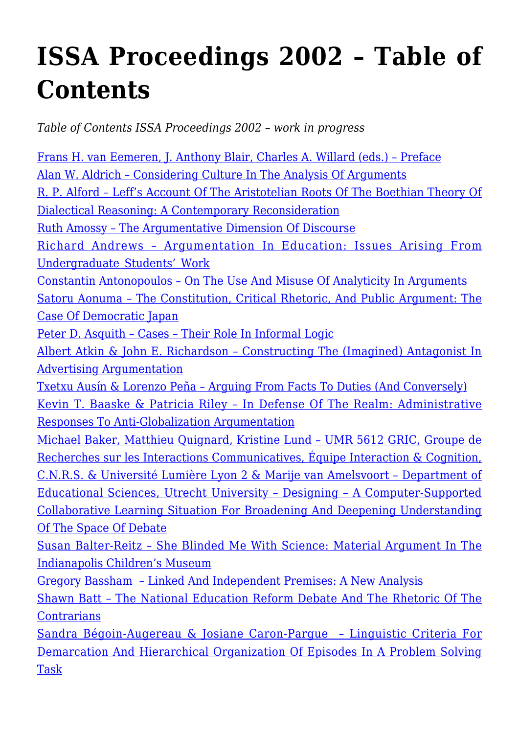## **[ISSA Proceedings 2002 – Table of](https://rozenbergquarterly.com/issa-proceedings-2002-table-of-contents/) [Contents](https://rozenbergquarterly.com/issa-proceedings-2002-table-of-contents/)**

*Table of Contents ISSA Proceedings 2002 – work in progress*

[Frans H. van Eemeren, J. Anthony Blair, Charles A. Willard \(eds.\) – Preface](http://rozenbergquarterly.com/issa-proceedings-2002-preface/#.UqS9_t3Ivbo) [Alan W. Aldrich – Considering Culture In The Analysis Of Arguments](http://rozenbergquarterly.com/issa-proceedings-2002-considering-culture-in-the-analysis-of-arguments/#.UqS-Xt3Ivbo) [R. P. Alford – Leff's Account Of The Aristotelian Roots Of The Boethian Theory Of](http://rozenbergquarterly.com/issa-proceedings-2002-leffs-account-of-the-aristotelian-roots-of-the-boethian-theory-of-dialectical-reasoning-a-contemporary-reconsideration/#.UqS-rd3Ivbo) [Dialectical Reasoning: A Contemporary Reconsideration](http://rozenbergquarterly.com/issa-proceedings-2002-leffs-account-of-the-aristotelian-roots-of-the-boethian-theory-of-dialectical-reasoning-a-contemporary-reconsideration/#.UqS-rd3Ivbo) [Ruth Amossy – The Argumentative Dimension Of Discourse](http://rozenbergquarterly.com/issa-proceedings-2002-the-argumentative-dimension-of-discourse/#.UqS-6N3Ivbo) [Richard Andrews – Argumentation In Education: Issues Arising From](http://rozenbergquarterly.com/issa-proceedings-2002-argumentation-in-education-issues-arising-from-undergraduate-students-work/#.UqS_Ld3Ivbo) [Undergraduate Students' Work](http://rozenbergquarterly.com/issa-proceedings-2002-argumentation-in-education-issues-arising-from-undergraduate-students-work/#.UqS_Ld3Ivbo) [Constantin Antonopoulos – On The Use And Misuse Of Analyticity In Arguments](http://rozenbergquarterly.com/issa-proceedings-2002-on-the-use-and-misuse-of-analyticity-in-arguments/#.UqTAQd3Ivbo) [Satoru Aonuma – The Constitution, Critical Rhetoric, And Public Argument: The](http://rozenbergquarterly.com/issa-proceedings-2002-the-constitution-critical-rhetoric-and-public-argument-the-case-of-democratic-japan/#.UqS__d3Ivbo) [Case Of Democratic Japan](http://rozenbergquarterly.com/issa-proceedings-2002-the-constitution-critical-rhetoric-and-public-argument-the-case-of-democratic-japan/#.UqS__d3Ivbo) [Peter D. Asquith – Cases – Their Role In Informal Logic](http://rozenbergquarterly.com/issa-proceedings-2002-cases-their-role-in-informal-logic/#.UqTAg93Ivbo) [Albert Atkin & John E. Richardson – Constructing The \(Imagined\) Antagonist In](http://rozenbergquarterly.com/issa-proceedings-2002-constructing-the-imagined-antagonist-in-advertising-argumentationi/#.UqTAvt3Ivbo) [Advertising Argumentation](http://rozenbergquarterly.com/issa-proceedings-2002-constructing-the-imagined-antagonist-in-advertising-argumentationi/#.UqTAvt3Ivbo) [Txetxu Ausín & Lorenzo Peña – Arguing From Facts To Duties \(And Conversely\)](http://rozenbergquarterly.com/issa-proceedings-2002-arguing-from-facts-to-duties-and-conversely/#.UqTBB93Ivbo) [Kevin T. Baaske & Patricia Riley – In Defense Of The Realm: Administrative](http://rozenbergquarterly.com/issa-proceedings-2002-in-defense-of-the-realm-administrative-responses-to-anti-globalization-argumentation/#.UqTBQ93Ivbo) [Responses To Anti-Globalization Argumentation](http://rozenbergquarterly.com/issa-proceedings-2002-in-defense-of-the-realm-administrative-responses-to-anti-globalization-argumentation/#.UqTBQ93Ivbo) [Michael Baker, Matthieu Quignard, Kristine Lund – UMR 5612 GRIC, Groupe de](http://rozenbergquarterly.com/issa-proceedings-2002-designing-a-computer-supported-collaborative-learning-situation-for-broadening-and-deepening-understanding-of-the-space-of-debate/) [Recherches sur les Interactions Communicatives, Équipe Interaction & Cognition,](http://rozenbergquarterly.com/issa-proceedings-2002-designing-a-computer-supported-collaborative-learning-situation-for-broadening-and-deepening-understanding-of-the-space-of-debate/) [C.N.R.S. & Université Lumière Lyon 2 & Marije van Amelsvoort – Department of](http://rozenbergquarterly.com/issa-proceedings-2002-designing-a-computer-supported-collaborative-learning-situation-for-broadening-and-deepening-understanding-of-the-space-of-debate/) [Educational Sciences, Utrecht University – Designing – A Computer-Supported](http://rozenbergquarterly.com/issa-proceedings-2002-designing-a-computer-supported-collaborative-learning-situation-for-broadening-and-deepening-understanding-of-the-space-of-debate/) [Collaborative Learning Situation For Broadening And Deepening Understanding](http://rozenbergquarterly.com/issa-proceedings-2002-designing-a-computer-supported-collaborative-learning-situation-for-broadening-and-deepening-understanding-of-the-space-of-debate/) [Of The Space Of Debate](http://rozenbergquarterly.com/issa-proceedings-2002-designing-a-computer-supported-collaborative-learning-situation-for-broadening-and-deepening-understanding-of-the-space-of-debate/) [Susan Balter-Reitz – She Blinded Me With Science: Material Argument In The](http://rozenbergquarterly.com/issa-proceedings-2002-she-blinded-me-with-science-material-argument-in-the-indianapolis-childrens-museum/) [Indianapolis Children's Museum](http://rozenbergquarterly.com/issa-proceedings-2002-she-blinded-me-with-science-material-argument-in-the-indianapolis-childrens-museum/) [Gregory Bassham – Linked And Independent Premises: A New Analysis](http://rozenbergquarterly.com/issa-proceedings-2002-linked-and-independent-premises-a-new-analysis/) [Shawn Batt – The National Education Reform Debate And The Rhetoric Of The](http://rozenbergquarterly.com/issa-proceedings-2002-the-national-education-reform-debate-and-the-rhetoric-of-the-contrarians/) **[Contrarians](http://rozenbergquarterly.com/issa-proceedings-2002-the-national-education-reform-debate-and-the-rhetoric-of-the-contrarians/)** [Sandra Bégoin-Augereau & Josiane Caron-Pargue – Linguistic Criteria For](http://rozenbergquarterly.com/issa-proceedings-2002-linguistic-criteria-for-demarcation-and-hierarchical-organization-of-episodes-in-a-problem-solving-task/) [Demarcation And Hierarchical Organization Of Episodes In A Problem Solving](http://rozenbergquarterly.com/issa-proceedings-2002-linguistic-criteria-for-demarcation-and-hierarchical-organization-of-episodes-in-a-problem-solving-task/) [Task](http://rozenbergquarterly.com/issa-proceedings-2002-linguistic-criteria-for-demarcation-and-hierarchical-organization-of-episodes-in-a-problem-solving-task/)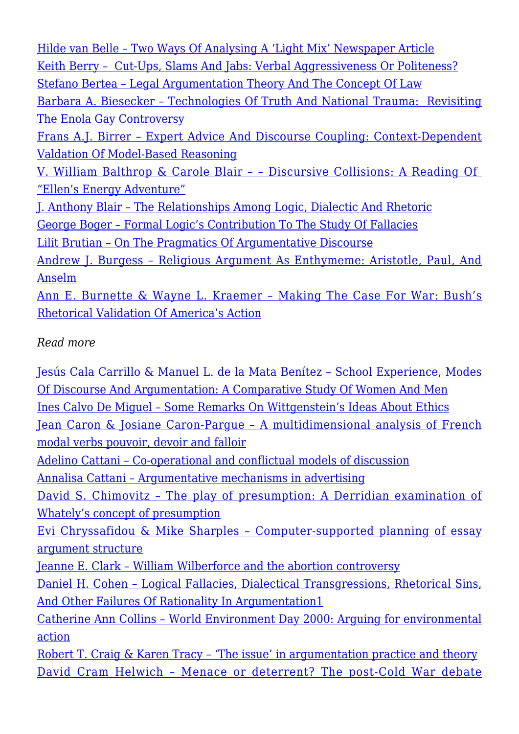[Hilde van Belle – Two Ways Of Analysing A 'Light Mix' Newspaper Article](http://rozenbergquarterly.com/issa-proceediings-2002-two-ways-of-analysing-a-light-mix-newspaper-article/) [Keith Berry – Cut-Ups, Slams And Jabs: Verbal Aggressiveness Or Politeness?](http://rozenbergquarterly.com/?s=Cut-Ups%2C+Slams+And+Jabs%3A+Verbal+Aggressiveness+Or+Politeness%3F) [Stefano Bertea – Legal Argumentation Theory And The Concept Of Law](http://rozenbergquarterly.com/?s=Legal+Argumentation+Theory+And+The+Concept+Of+Law) [Barbara A. Biesecker – Technologies Of Truth And National Trauma: Revisiting](http://rozenbergquarterly.com/?s=Technologies+Of+Truth+And+National+Trauma%3A) [The Enola Gay Controversy](http://rozenbergquarterly.com/?s=Technologies+Of+Truth+And+National+Trauma%3A) [Frans A.J. Birrer – Expert Advice And Discourse Coupling: Context-Dependent](http://rozenbergquarterly.com/?s=Expert+Advice+And+Discourse+Coupling) [Valdation Of Model-Based Reasoning](http://rozenbergquarterly.com/?s=Expert+Advice+And+Discourse+Coupling) [V. William Balthrop & Carole Blair – – Discursive Collisions: A Reading Of](http://rozenbergquarterly.com/issa-proceedings-2002-discursive-collisions-a-reading-of-ellens-energy-adventure/)  ["Ellen's Energy Adventure"](http://rozenbergquarterly.com/issa-proceedings-2002-discursive-collisions-a-reading-of-ellens-energy-adventure/) [J. Anthony Blair – The Relationships Among Logic, Dialectic And Rhetoric](http://rozenbergquarterly.com/?s=The+Relationships+Among+Logic%2C) [George Boger – Formal Logic's Contribution To The Study Of Fallacies](http://rozenbergquarterly.com/issa-proceedings-2002-formal-logics-contribution-to-the-study-of-fallacies/) [Lilit Brutian – On The Pragmatics Of Argumentative Discourse](http://rozenbergquarterly.com/issa-proceedings-2002-on-the-pragmatics-of-argumentative-discourse/) [Andrew J. Burgess – Religious Argument As Enthymeme: Aristotle, Paul, And](http://rozenbergquarterly.com/issa-proceedings-2002-religious-argument-as-enthymeme-aristotle-paul-and-anselm/) [Anselm](http://rozenbergquarterly.com/issa-proceedings-2002-religious-argument-as-enthymeme-aristotle-paul-and-anselm/) [Ann E. Burnette & Wayne L. Kraemer – Making The Case For War: Bush's](http://rozenbergquarterly.com/issa-proceedings-2002-making-the-case-for-war-bushs-rhetorical-validation-of-americas-action/) [Rhetorical Validation Of America's Action](http://rozenbergquarterly.com/issa-proceedings-2002-making-the-case-for-war-bushs-rhetorical-validation-of-americas-action/)

## *Read more*

[Jesús Cala Carrillo & Manuel L. de la Mata Benítez – School Experience, Modes](http://rozenbergquarterly.com/issa-proceedings-2002-school-experience-modes-of-discourse-and-argumentation-a-comparative-study-of-women-and-men/) [Of Discourse And Argumentation: A Comparative Study Of Women And Men](http://rozenbergquarterly.com/issa-proceedings-2002-school-experience-modes-of-discourse-and-argumentation-a-comparative-study-of-women-and-men/) [Ines Calvo De Miguel – Some Remarks On Wittgenstein's Ideas About Ethics](http://rozenbergquarterly.com/issa-proceedings-2002-some-remarks-on-wittgensteins-ideas-about-ethics/) [Jean Caron & Josiane Caron-Pargue – A multidimensional analysis of French](http://rozenbergquarterly.com/issa-proceedings-2002-a-multidimensional-analysis-of-french-modal-verbs-pouvoir-devoir-and-falloir/) [modal verbs pouvoir, devoir and falloir](http://rozenbergquarterly.com/issa-proceedings-2002-a-multidimensional-analysis-of-french-modal-verbs-pouvoir-devoir-and-falloir/) [Adelino Cattani – Co-operational and conflictual models of discussion](http://rozenbergquarterly.com/issa-proceedings-2002-co-operational-and-conflictual-models-of-discussion/) [Annalisa Cattani – Argumentative mechanisms in advertising](http://rozenbergquarterly.com/issa-proceedings-2002-argumentative-mechanisms-in-advertising/) [David S. Chimovitz – The play of presumption: A Derridian examination of](http://rozenbergquarterly.com/issa-proceedings-2002-the-play-of-presumption-a-derridian-examination-of-whatelys-concept-of-presumption/) [Whately's concept of presumption](http://rozenbergquarterly.com/issa-proceedings-2002-the-play-of-presumption-a-derridian-examination-of-whatelys-concept-of-presumption/) [Evi Chryssafidou & Mike Sharples – Computer-supported planning of essay](http://rozenbergquarterly.com/issa-proceedings-2002-computer-supported-planning-of-essay-argument-structure/) [argument structure](http://rozenbergquarterly.com/issa-proceedings-2002-computer-supported-planning-of-essay-argument-structure/) [Jeanne E. Clark – William Wilberforce and the abortion controversy](http://rozenbergquarterly.com/issa-proceedings-2002-william-wilberforce-and-the-abortion-controversy/) [Daniel H. Cohen – Logical Fallacies, Dialectical Transgressions, Rhetorical Sins,](http://rozenbergquarterly.com/issa-proceedings-2002-logical-fallacies-dialectical-transgressions-rhetorical-sins-and-other-failures-of-rationality-in-argumentation1/) [And Other Failures Of Rationality In Argumentation1](http://rozenbergquarterly.com/issa-proceedings-2002-logical-fallacies-dialectical-transgressions-rhetorical-sins-and-other-failures-of-rationality-in-argumentation1/) [Catherine Ann Collins – World Environment Day 2000: Arguing for environmental](http://rozenbergquarterly.com/issa-proceedings-2002-world-environment-day-2000-arguing-for-environmental-action/) [action](http://rozenbergquarterly.com/issa-proceedings-2002-world-environment-day-2000-arguing-for-environmental-action/) Robert T. Craig & Karen Tracy - 'The issue' in argumentation practice and theory [David Cram Helwich – Menace or deterrent? The post-Cold War debate](http://rozenbergquarterly.com/issa-proceedings-2002-menace-or-deterrent-the-post-cold-war-debate-concerning-american-nuclear-alert-status/)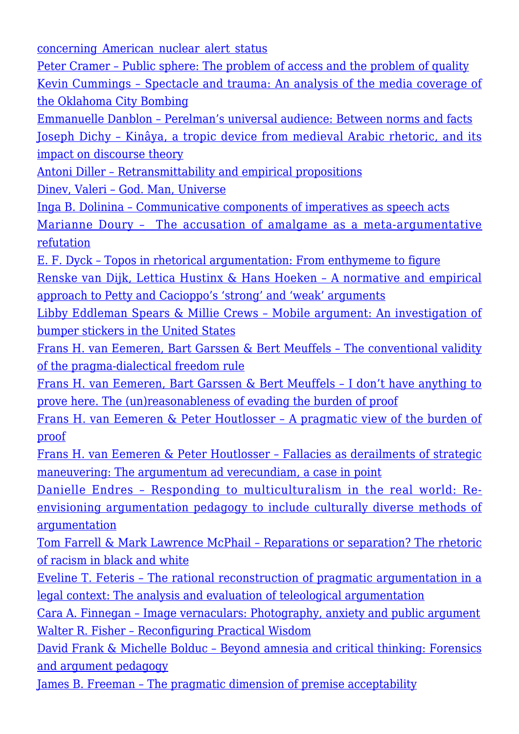[concerning American nuclear alert status](http://rozenbergquarterly.com/issa-proceedings-2002-menace-or-deterrent-the-post-cold-war-debate-concerning-american-nuclear-alert-status/)

[Peter Cramer – Public sphere: The problem of access and the problem of quality](http://rozenbergquarterly.com/issa-proceedings-2002-public-sphere-the-problem-of-access-and-the-problem-of-quality/) [Kevin Cummings – Spectacle and trauma: An analysis of the media coverage of](http://rozenbergquarterly.com/issa-proceedings-2002-spectacle-and-trauma-an-analysis-of-the-media-coverage-of-the-oklahoma-city-bombing/) [the Oklahoma City Bombing](http://rozenbergquarterly.com/issa-proceedings-2002-spectacle-and-trauma-an-analysis-of-the-media-coverage-of-the-oklahoma-city-bombing/)

[Emmanuelle Danblon – Perelman's universal audience: Between norms and facts](http://rozenbergquarterly.com/issa-proceedings-2002-perelmans-universal-audience-between-norms-and-facts/) [Joseph Dichy – Kinâya, a tropic device from medieval Arabic rhetoric, and its](http://rozenbergquarterly.com/issa-proceedings-2002-kinaya-a-tropic-device-from-medieval-arabic-rhetoric-and-its-impact-on-discourse-theory/) [impact on discourse theory](http://rozenbergquarterly.com/issa-proceedings-2002-kinaya-a-tropic-device-from-medieval-arabic-rhetoric-and-its-impact-on-discourse-theory/)

[Antoni Diller – Retransmittability and empirical propositions](http://rozenbergquarterly.com/issa-proceedings-2002-retransmittability-and-empirical-propositions/)

[Dinev, Valeri – God. Man, Universe](http://rozenbergquarterly.com/issa-proceedings-2002-god-man-universe/)

[Inga B. Dolinina – Communicative components of imperatives as speech acts](http://rozenbergquarterly.com/issa-proceedings-2002-the-accusation-of-amalgame-as-a-meta-argumentative-refutation/)

[Marianne Doury – The accusation of amalgame as a meta-argumentative](http://rozenbergquarterly.com/issa-proceedings-2002-the-accusation-of-amalgame-as-a-meta-argumentative-refutation/) [refutation](http://rozenbergquarterly.com/issa-proceedings-2002-the-accusation-of-amalgame-as-a-meta-argumentative-refutation/)

[E. F. Dyck – Topos in rhetorical argumentation: From enthymeme to figure](http://rozenbergquarterly.com/issa-proceedings-2002-topos-in-rhetorical-argumentation-from-enthymeme-to-figure/) [Renske van Dijk, Lettica Hustinx & Hans Hoeken – A normative and empirical](http://rozenbergquarterly.com/issa-proceedings-2002-a-normative-and-empirical-approach-to-petty-and-cacioppos-strong-and-weak-arguments/) [approach to Petty and Cacioppo's 'strong' and 'weak' arguments](http://rozenbergquarterly.com/issa-proceedings-2002-a-normative-and-empirical-approach-to-petty-and-cacioppos-strong-and-weak-arguments/)

[Libby Eddleman Spears & Millie Crews – Mobile argument: An investigation of](http://rozenbergquarterly.com/issa-proceedings-2002-mobile-argument-an-investigation-of-bumper-stickers-in-the-united-states/) [bumper stickers in the United](http://rozenbergquarterly.com/issa-proceedings-2002-mobile-argument-an-investigation-of-bumper-stickers-in-the-united-states/) [States](http://rozenbergquarterly.com/issa-proceedings-2002-mobile-argument-an-investigation-of-bumper-stickers-in-the-united-states/)

[Frans H. van Eemeren, Bart Garssen & Bert Meuffels – The conventional validity](http://rozenbergquarterly.com/issa-proceedings-2002-the-conventional-validity-of-the-pragma-dialectical-freedom-rule/) [of the pragma-dialectical freedom rule](http://rozenbergquarterly.com/issa-proceedings-2002-the-conventional-validity-of-the-pragma-dialectical-freedom-rule/)

[Frans H. van Eemeren, Bart Garssen & Bert Meuffels – I don't have anything to](http://rozenbergquarterly.com/issa-proceedings-2002-i-dont-have-anything-to-prove-here-the-unreasonableness-of-evading-the-burden-of-proof/) [prove here. The \(un\)reasonableness of evading the burden of proof](http://rozenbergquarterly.com/issa-proceedings-2002-i-dont-have-anything-to-prove-here-the-unreasonableness-of-evading-the-burden-of-proof/)

[Frans H. van Eemeren & Peter Houtlosser – A pragmatic view of the burden of](http://rozenbergquarterly.com/issa-proceedings-2002-a-pracmatic-view-of-the-burden-of-proof/) [proof](http://rozenbergquarterly.com/issa-proceedings-2002-a-pracmatic-view-of-the-burden-of-proof/)

[Frans H. van Eemeren & Peter Houtlosser – Fallacies as derailments of strategic](http://rozenbergquarterly.com/issa-proceedings-2002-fallacies-as-derailments-of-strategic-maneuvering-the-argumentum-ad-verecundiam-a-case-in-point/) [maneuvering: The argumentum ad verecundiam, a case in point](http://rozenbergquarterly.com/issa-proceedings-2002-fallacies-as-derailments-of-strategic-maneuvering-the-argumentum-ad-verecundiam-a-case-in-point/)

[Danielle Endres – Responding to multiculturalism in the real world: Re](http://rozenbergquarterly.com/issa-proceedings-2002-responding-to-multiculturalism-in-the-real-world-re-envisioning-argumentation-pedagogy-to-include-culturally-diverse-methods-of-argumentation/)[envisioning argumentation pedagogy to include culturally diverse methods of](http://rozenbergquarterly.com/issa-proceedings-2002-responding-to-multiculturalism-in-the-real-world-re-envisioning-argumentation-pedagogy-to-include-culturally-diverse-methods-of-argumentation/) [argumentation](http://rozenbergquarterly.com/issa-proceedings-2002-responding-to-multiculturalism-in-the-real-world-re-envisioning-argumentation-pedagogy-to-include-culturally-diverse-methods-of-argumentation/)

[Tom Farrell & Mark Lawrence McPhail – Reparations or separation? The rhetoric](http://rozenbergquarterly.com/issa-proceedings-2002-reparations-or-separation-the-rhetoric-of-racism-in-black-and-white/) [of racism in black and white](http://rozenbergquarterly.com/issa-proceedings-2002-reparations-or-separation-the-rhetoric-of-racism-in-black-and-white/)

[Eveline T. Feteris – The rational reconstruction of pragmatic argumentation in a](http://rozenbergquarterly.com/issa-proceedings-2002-the-rational-reconstruction-of-pragmatic-argumentation-in-a-legal-context-the-analysis-and-evaluation-of-teleological-argumentation/) [legal context: The analysis and evaluation of teleological argumentation](http://rozenbergquarterly.com/issa-proceedings-2002-the-rational-reconstruction-of-pragmatic-argumentation-in-a-legal-context-the-analysis-and-evaluation-of-teleological-argumentation/)

[Cara A. Finnegan – Image vernaculars: Photography, anxiety and public argument](http://rozenbergquarterly.com/issa-proceedings-2002-image-vernaculars-photography-anxiety-and-public-argument/) [Walter R. Fisher – Reconfiguring Practical Wisdom](http://rozenbergquarterly.com/issa-proceedings-2002-reconfiguring-practical-wisdom/)

[David Frank & Michelle Bolduc – Beyond amnesia and critical thinking: Forensics](http://rozenbergquarterly.com/issa-proceedings-2002-beyond-amnesia-and-critical-thinking-forensics-and-argument-pedagogy/) [and argument pedagogy](http://rozenbergquarterly.com/issa-proceedings-2002-beyond-amnesia-and-critical-thinking-forensics-and-argument-pedagogy/)

[James B. Freeman – The pragmatic dimension of premise acceptability](http://rozenbergquarterly.com/issa-proceedings-2002-the-pragmatic-dimension-of-premise-acceptability/)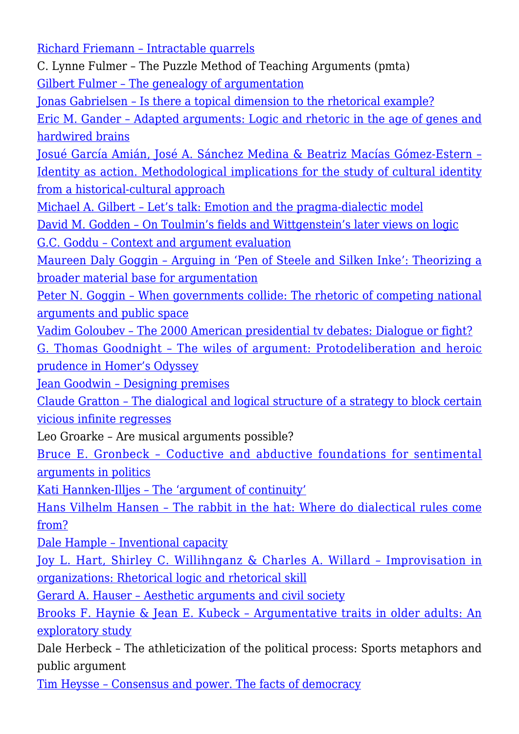[Richard Friemann – Intractable quarrels](http://rozenbergquarterly.com/issa-proceedings-2002-intractable-quarrels/)

C. Lynne Fulmer – The Puzzle Method of Teaching Arguments (pmta) [Gilbert Fulmer – The genealogy of argumentation](http://rozenbergquarterly.com/issa-proceedings-2002-the-genealogy-of-argumentation/)

[Jonas Gabrielsen – Is there a topical dimension to the rhetorical example?](http://rozenbergquarterly.com/issa-proceedings-2002-is-there-a-topical-dimension-to-the-rhetorical-example/)

[Eric M. Gander – Adapted arguments: Logic and rhetoric in the age of genes and](http://rozenbergquarterly.com/issa-proceedings-2002-adapted-arguments-logic-and-rhetoric-in-the-age-of-genes-and-hardwired-brains/) [hardwired brains](http://rozenbergquarterly.com/issa-proceedings-2002-adapted-arguments-logic-and-rhetoric-in-the-age-of-genes-and-hardwired-brains/)

[Josué García Amián, José A. Sánchez Medina & Beatriz Macías Gómez-Estern –](http://rozenbergquarterly.com/issa-proceedings-2002-identity-as-action-methodological-implications-for-the-study-of-cultural-identity-from-a-historical-cultural-approach/) [Identity as action. Methodological implications for the study of cultural identity](http://rozenbergquarterly.com/issa-proceedings-2002-identity-as-action-methodological-implications-for-the-study-of-cultural-identity-from-a-historical-cultural-approach/) [from a historical-cultural approach](http://rozenbergquarterly.com/issa-proceedings-2002-identity-as-action-methodological-implications-for-the-study-of-cultural-identity-from-a-historical-cultural-approach/)

[Michael A. Gilbert – Let's talk: Emotion and the pragma-dialectic model](http://rozenbergquarterly.com/issa-proceedings-2002-lets-talk-emotion-and-the-pragma-dialectic-model/)

[David M. Godden – On Toulmin's fields and Wittgenstein's later views on logic](http://rozenbergquarterly.com/issa-proceedings-2002-on-toulmins-fields-and-wittgensteins-later-views-on-logic/)

[G.C. Goddu – Context and argument evaluation](http://rozenbergquarterly.com/issa-proceedings-2002-context-and-argument-evaluation/)

[Maureen Daly Goggin – Arguing in 'Pen of Steele and Silken Inke': Theorizing a](http://rozenbergquarterly.com/issa-proceedings-2002-arguing-in-pen-of-steele-and-silken-inke-theorizing-a-broader-material-base-for-argumentation/) [broader material base for argumentation](http://rozenbergquarterly.com/issa-proceedings-2002-arguing-in-pen-of-steele-and-silken-inke-theorizing-a-broader-material-base-for-argumentation/)

[Peter N. Goggin – When governments collide: The rhetoric of competing national](http://rozenbergquarterly.com/issa-proceedings-2002-when-governments-collide-the-rhetoric-of-competing-national-arguments-and-public-space/) [arguments and public space](http://rozenbergquarterly.com/issa-proceedings-2002-when-governments-collide-the-rhetoric-of-competing-national-arguments-and-public-space/)

[Vadim Goloubev – The 2000 American presidential tv debates: Dialogue or fight?](http://rozenbergquarterly.com/issa-proceedings-2002-the-2000-american-presidential-tv-debates-dialogue-or-fight/) [G. Thomas Goodnight – The wiles of argument: Protodeliberation and heroic](http://rozenbergquarterly.com/issa-proceedings-2002-the-wiles-of-argument-protodeliberation-and-heroic-prudence-in-homers-odyssey/) [prudence in Homer's Odyssey](http://rozenbergquarterly.com/issa-proceedings-2002-the-wiles-of-argument-protodeliberation-and-heroic-prudence-in-homers-odyssey/)

[Jean Goodwin – Designing premises](http://rozenbergquarterly.com/issa-proceedings-2002-designing-premises/)

[Claude Gratton – The dialogical and logical structure of a strategy to block certain](http://rozenbergquarterly.com/issa-proceedings-2002-the-dialogical-and-logical-structure-of-a-strategy-to-block-certain-vicious-infinite-regresses/) [vicious infinite regresses](http://rozenbergquarterly.com/issa-proceedings-2002-the-dialogical-and-logical-structure-of-a-strategy-to-block-certain-vicious-infinite-regresses/)

Leo Groarke – Are musical arguments possible?

[Bruce E. Gronbeck – Coductive and abductive foundations for sentimental](http://rozenbergquarterly.com/issa-proceedings-2002-coductive-and-abductive-foundations-for-sentimental-arguments-in-politics/) [arguments in politics](http://rozenbergquarterly.com/issa-proceedings-2002-coductive-and-abductive-foundations-for-sentimental-arguments-in-politics/)

[Kati Hannken-Illjes – The 'argument of continuity'](http://rozenbergquarterly.com/issa-proceedings-2002-the-argument-of-continuity/)

[Hans Vilhelm Hansen – The rabbit in the hat: Where do dialectical rules come](http://rozenbergquarterly.com/issa-proceedings-2002-the-rabbit-in-the-hat-where-do-dialectical-rules-come-from/) [from?](http://rozenbergquarterly.com/issa-proceedings-2002-the-rabbit-in-the-hat-where-do-dialectical-rules-come-from/)

[Dale Hample – Inventional capacity](http://rozenbergquarterly.com/issa-proceedings-2002-inventional-capacity/)

[Joy L. Hart, Shirley C. Willihnganz & Charles A. Willard – Improvisation in](http://rozenbergquarterly.com/issa-proceedings-2002-improvisation-in-organizations-rhetorical-logic-and-rhetorical-skill/) [organizations: Rhetorical logic and rhetorical skill](http://rozenbergquarterly.com/issa-proceedings-2002-improvisation-in-organizations-rhetorical-logic-and-rhetorical-skill/)

[Gerard A. Hauser – Aesthetic arguments and civil society](http://rozenbergquarterly.com/issa-proceedings-2002-aesthetic-arguments-and-civil-society/)

[Brooks F. Haynie & Jean E. Kubeck – Argumentative traits in older adults: An](http://rozenbergquarterly.com/issa-proceedings-2002-argumentative-traits-in-older-adults-an-exploratory-study/) [exploratory study](http://rozenbergquarterly.com/issa-proceedings-2002-argumentative-traits-in-older-adults-an-exploratory-study/)

Dale Herbeck – The athleticization of the political process: Sports metaphors and public argument

[Tim Heysse – Consensus and power. The facts of democracy](http://rozenbergquarterly.com/issa-proceedings-2002-consensus-and-power-the-facts-of-democracy/)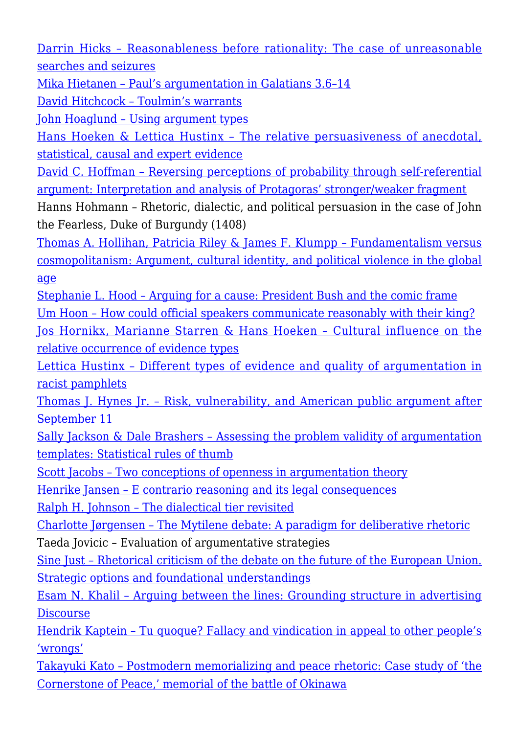[Darrin Hicks – Reasonableness before rationality: The case of unreasonable](http://rozenbergquarterly.com/issa-proceedings-2002-reasonableness-before-rationality-the-case-of-unreasonable-searches-and-seizures/) [searches and seizures](http://rozenbergquarterly.com/issa-proceedings-2002-reasonableness-before-rationality-the-case-of-unreasonable-searches-and-seizures/)

[Mika Hietanen – Paul's argumentation in Galatians 3.6–14](http://rozenbergquarterly.com/issa-proceedings-2002-pauls-argumentation-in-galatians-3-6-14/)

[David Hitchcock – Toulmin's warrants](http://rozenbergquarterly.com/issa-proceedings-2002-toulmins-warrants/)

[John Hoaglund – Using argument types](http://rozenbergquarterly.com/issa-proceedings-2002-using-argument-types/)

[Hans Hoeken & Lettica Hustinx – The relative persuasiveness of anecdotal,](http://rozenbergquarterly.com/issa-proceedings-2002-the-relative-persuasiveness-of-anecdotal-statistical-causal-and-expert-evidence/) [statistical, causal and expert evidence](http://rozenbergquarterly.com/issa-proceedings-2002-the-relative-persuasiveness-of-anecdotal-statistical-causal-and-expert-evidence/)

[David C. Hoffman – Reversing perceptions of probability through self-referential](http://rozenbergquarterly.com/issa-proceedings-2002-reversing-perceptions-of-probability-through-self-referential-argument-interpretation-and-analysis-of-protagoras-strongerweaker-fragment/) [argument: Interpretation and analysis of Protagoras' stronger/weaker fragment](http://rozenbergquarterly.com/issa-proceedings-2002-reversing-perceptions-of-probability-through-self-referential-argument-interpretation-and-analysis-of-protagoras-strongerweaker-fragment/)

Hanns Hohmann – Rhetoric, dialectic, and political persuasion in the case of John the Fearless, Duke of Burgundy (1408)

[Thomas A. Hollihan, Patricia Riley & James F. Klumpp – Fundamentalism versus](http://rozenbergquarterly.com/issa-proceedings-2002-fundamentalism-versus-cosmopolitanism-argument-cultural-identity-and-political-violence-in-the-global-age/) [cosmopolitanism: Argument, cultural identity, and political violence in the global](http://rozenbergquarterly.com/issa-proceedings-2002-fundamentalism-versus-cosmopolitanism-argument-cultural-identity-and-political-violence-in-the-global-age/) [age](http://rozenbergquarterly.com/issa-proceedings-2002-fundamentalism-versus-cosmopolitanism-argument-cultural-identity-and-political-violence-in-the-global-age/)

[Stephanie L. Hood – Arguing for a cause: President Bush and the comic frame](http://rozenbergquarterly.com/issa-proceedings-2002-arguing-for-a-cause-president-bush-and-the-comic-frame/) [Um Hoon – How could official speakers communicate reasonably with their king?](http://rozenbergquarterly.com/issa-proceedings-2002-how-could-official-speakers-communicate-reasonably-with-their-king/)

[Jos Hornikx, Marianne Starren & Hans Hoeken – Cultural influence on the](http://rozenbergquarterly.com/issa-proceedings-2002-cultural-influence-on-the-relative-occurrence-of-evidence-types/) [relative occurrence of evidence types](http://rozenbergquarterly.com/issa-proceedings-2002-cultural-influence-on-the-relative-occurrence-of-evidence-types/)

[Lettica Hustinx – Different types of evidence and quality of argumentation in](http://rozenbergquarterly.com/issa-proceedings-2002-different-types-of-evidence-and-quality-of-argumentation-in-racist-pamphlets/) [racist pamphlets](http://rozenbergquarterly.com/issa-proceedings-2002-different-types-of-evidence-and-quality-of-argumentation-in-racist-pamphlets/)

[Thomas J. Hynes Jr. – Risk, vulnerability, and American public argument after](http://rozenbergquarterly.com/issa-proceedings-2002-risk-vulnerability-and-american-public-argument-after-september-11/) [September 11](http://rozenbergquarterly.com/issa-proceedings-2002-risk-vulnerability-and-american-public-argument-after-september-11/)

[Sally Jackson & Dale Brashers – Assessing the problem validity of argumentation](http://rozenbergquarterly.com/issa-proceedings-2002-assessing-the-problem-validity-of-argumentation-templates-statistical-rules-of-thumb/) [templates: Statistical rules of thumb](http://rozenbergquarterly.com/issa-proceedings-2002-assessing-the-problem-validity-of-argumentation-templates-statistical-rules-of-thumb/)

[Scott Jacobs – Two conceptions of openness in argumentation theory](http://rozenbergquarterly.com/issa-proceedings-2002-two-conceptions-of-openness-in-argumentation-theory/)

[Henrike Jansen – E contrario reasoning and its legal consequences](http://rozenbergquarterly.com/issa-proceedings-2002-e-contrario-reasoning-and-its-legal-consequences/)

[Ralph H. Johnson – The dialectical tier revisited](http://rozenbergquarterly.com/issa-proceedings-2002-the-dialectical-tier-revisited/)

[Charlotte Jørgensen – The Mytilene debate: A paradigm for deliberative rhetoric](http://rozenbergquarterly.com/issa-proceedings-2002-the-mytilene-debate-a-paradigm-for-deliberative-rhetoric/)

Taeda Jovicic – Evaluation of argumentative strategies

[Sine Just – Rhetorical criticism of the debate on the future of the European Union.](http://rozenbergquarterly.com/issa-proceedings-2002-rhetorical-criticism-of-the-debate-on-the-future-of-the-european-union-strategic-options-and-foundational-understandings/) [Strategic options and foundational understandings](http://rozenbergquarterly.com/issa-proceedings-2002-rhetorical-criticism-of-the-debate-on-the-future-of-the-european-union-strategic-options-and-foundational-understandings/)

[Esam N. Khalil – Arguing between the lines: Grounding structure in advertising](http://rozenbergquarterly.com/issa-proceedings-2002-arguing-between-the-lines-grounding-structure-in-advertising-discourse/) **[Discourse](http://rozenbergquarterly.com/issa-proceedings-2002-arguing-between-the-lines-grounding-structure-in-advertising-discourse/)** 

[Hendrik Kaptein – Tu quoque? Fallacy and vindication in appeal to other people's](http://rozenbergquarterly.com/issa-proceedings-2002-tu-quoque-fallacy-and-vindication-in-appeal-to-other-peoples-wrongs/) ['wrongs'](http://rozenbergquarterly.com/issa-proceedings-2002-tu-quoque-fallacy-and-vindication-in-appeal-to-other-peoples-wrongs/)

[Takayuki Kato – Postmodern memorializing and peace rhetoric: Case study of 'the](http://rozenbergquarterly.com/issa-proceedings-2002-postmodern-memorializing-and-peace-rhetoric-case-study-of-the-cornerstone-of-peace-memorial-of-the-battle-of-okinawa/) [Cornerstone of Peace,' memorial of the battle of Okinawa](http://rozenbergquarterly.com/issa-proceedings-2002-postmodern-memorializing-and-peace-rhetoric-case-study-of-the-cornerstone-of-peace-memorial-of-the-battle-of-okinawa/)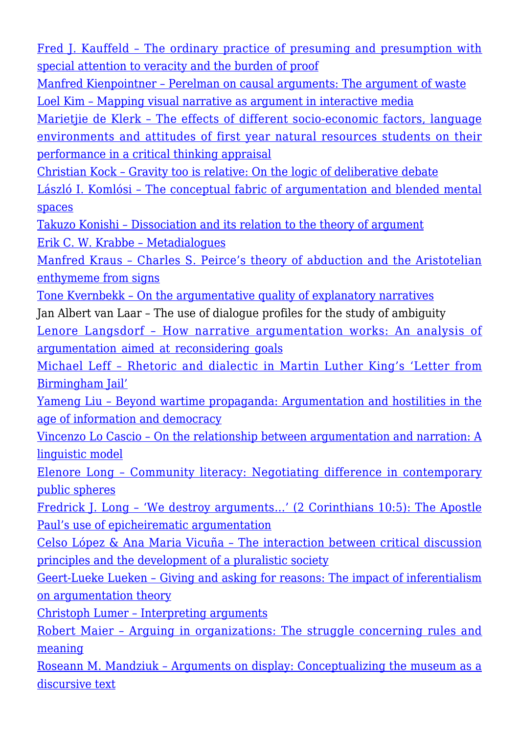[Fred J. Kauffeld – The ordinary practice of presuming and presumption with](http://rozenbergquarterly.com/issa-proceedings-2002-the-ordinary-practice-of-presuming-and-presumption-with-special-attention-to-veracity-and-the-burden-of-proof/) [special attention to veracity and the burden of proof](http://rozenbergquarterly.com/issa-proceedings-2002-the-ordinary-practice-of-presuming-and-presumption-with-special-attention-to-veracity-and-the-burden-of-proof/)

[Manfred Kienpointner – Perelman on causal arguments: The argument of waste](http://rozenbergquarterly.com/issa-proceedings-2002-perelman-on-causal-arguments-the-argument-of-waste/) [Loel Kim – Mapping visual narrative as argument in interactive media](http://rozenbergquarterly.com/issa-proceedings-2002-mapping-visual-narrative-as-argument-in-interactive-media/)

Marietiie de Klerk - The effects of different socio-economic factors, language [environments and attitudes of first year natural resources students on their](http://rozenbergquarterly.com/issa-proceedings-2002-the-effects-of-different-socio-economic-factors-language-environments-and-attitudes-of-first-year-natural-resources-students-on-their-performance-in-a-critical-thinking-apprai/) [performance in a critical thinking appraisal](http://rozenbergquarterly.com/issa-proceedings-2002-the-effects-of-different-socio-economic-factors-language-environments-and-attitudes-of-first-year-natural-resources-students-on-their-performance-in-a-critical-thinking-apprai/)

[Christian Kock – Gravity too is relative: On the logic of deliberative debate](http://rozenbergquarterly.com/issa-proceedings-2002-gravity-too-is-relative-on-the-logic-of-deliberative-debate/)

[László I. Komlósi – The conceptual fabric of argumentation and blended mental](http://rozenbergquarterly.com/issa-proceedings-2002-the-conceptual-fabric-of-argumentation-and-blended-mental-spaces/) [spaces](http://rozenbergquarterly.com/issa-proceedings-2002-the-conceptual-fabric-of-argumentation-and-blended-mental-spaces/)

[Takuzo Konishi – Dissociation and its relation to the theory of argument](http://rozenbergquarterly.com/issa-proceedings-2002-dissociation-and-its-relation-to-theory-of-argument/) [Erik C. W. Krabbe – Metadialogues](http://rozenbergquarterly.com/issa-proceedings-2002-metadialogues/)

[Manfred Kraus – Charles S. Peirce's theory of abduction and the Aristotelian](http://rozenbergquarterly.com/issa-proceedings-2002-charles-s-peirces-theory-of-abduction-and-the-aristotelian-enthymeme-from-signs/) [enthymeme from signs](http://rozenbergquarterly.com/issa-proceedings-2002-charles-s-peirces-theory-of-abduction-and-the-aristotelian-enthymeme-from-signs/)

[Tone Kvernbekk – On the argumentative quality of explanatory narratives](http://rozenbergquarterly.com/issa-proceedings-2002-on-the-argumentative-quality-of-explanatory-narratives/)

Jan Albert van Laar – The use of dialogue profiles for the study of ambiguity

[Lenore Langsdorf – How narrative argumentation works: An analysis of](http://rozenbergquarterly.com/issa-proceedings-2002-how-narrative-argumentation-works-an-analysis-of-argumentation-aimed-at-reconsidering-goals/) [argumentation aimed at reconsidering goals](http://rozenbergquarterly.com/issa-proceedings-2002-how-narrative-argumentation-works-an-analysis-of-argumentation-aimed-at-reconsidering-goals/)

[Michael Leff – Rhetoric and dialectic in Martin Luther King's 'Letter from](http://rozenbergquarterly.com/issa-proceedings-2002-rhetoric-and-dialectic-in-martin-luther-kings-letter-from-birmingham-jail/) [Birmingham Jail'](http://rozenbergquarterly.com/issa-proceedings-2002-rhetoric-and-dialectic-in-martin-luther-kings-letter-from-birmingham-jail/)

[Yameng Liu – Beyond wartime propaganda: Argumentation and hostilities in the](http://rozenbergquarterly.com/issa-proceedings-2002-beyond-wartime-propaganda-argumentation-and-hostilities-in-the-age-of-information-and-democracy/) [age of information and democracy](http://rozenbergquarterly.com/issa-proceedings-2002-beyond-wartime-propaganda-argumentation-and-hostilities-in-the-age-of-information-and-democracy/)

[Vincenzo Lo Cascio – On the relationship between argumentation and narration: A](http://rozenbergquarterly.com/issa-proceedings-2002-on-the-relationship-between-argumentation-and-narration-a-linguistic-model/) [linguistic model](http://rozenbergquarterly.com/issa-proceedings-2002-on-the-relationship-between-argumentation-and-narration-a-linguistic-model/)

[Elenore Long – Community literacy: Negotiating difference in contemporary](http://rozenbergquarterly.com/issa-proceedings-2002-community-literacy-negotiating-difference-in-contemporary-public-spheres/) [public spheres](http://rozenbergquarterly.com/issa-proceedings-2002-community-literacy-negotiating-difference-in-contemporary-public-spheres/)

[Fredrick J. Long – 'We destroy arguments…' \(2 Corinthians 10:5\): The Apostle](http://rozenbergquarterly.com/issa-proceedings-2002-we-destroy-arguments-2-corinthians-105-the-apostle-pauls-use-of-epicheirematic-argumentation/) [Paul's use of epicheirematic argumentation](http://rozenbergquarterly.com/issa-proceedings-2002-we-destroy-arguments-2-corinthians-105-the-apostle-pauls-use-of-epicheirematic-argumentation/)

[Celso López & Ana Maria Vicuña – The interaction between critical discussion](http://rozenbergquarterly.com/issa-proceedings-2002-the-interaction-between-critical-discussion-principles-and-the-development-of-a-pluralistic-society/) [principles and the development of a pluralistic society](http://rozenbergquarterly.com/issa-proceedings-2002-the-interaction-between-critical-discussion-principles-and-the-development-of-a-pluralistic-society/)

[Geert-Lueke Lueken – Giving and asking for reasons: The impact of inferentialism](http://rozenbergquarterly.com/issa-proceedings-2002-giving-and-asking-for-reasons-the-impact-of-inferentialism-on-argumentation-theory/) [on argumentation theory](http://rozenbergquarterly.com/issa-proceedings-2002-giving-and-asking-for-reasons-the-impact-of-inferentialism-on-argumentation-theory/)

[Christoph Lumer – Interpreting arguments](http://rozenbergquarterly.com/issa-proceedings-2002-interpreting-arguments/)

[Robert Maier – Arguing in organizations: The struggle concerning rules and](http://rozenbergquarterly.com/issa-proceedings-2002-arguing-in-organizations-the-struggle-concerning-rules-and-meaning/) [meaning](http://rozenbergquarterly.com/issa-proceedings-2002-arguing-in-organizations-the-struggle-concerning-rules-and-meaning/)

[Roseann M. Mandziuk – Arguments on display: Conceptualizing the museum as a](http://rozenbergquarterly.com/issa-proceedings-2002-arguments-on-display-conceptualizing-the-museum-as-a-discursive-text/) [discursive text](http://rozenbergquarterly.com/issa-proceedings-2002-arguments-on-display-conceptualizing-the-museum-as-a-discursive-text/)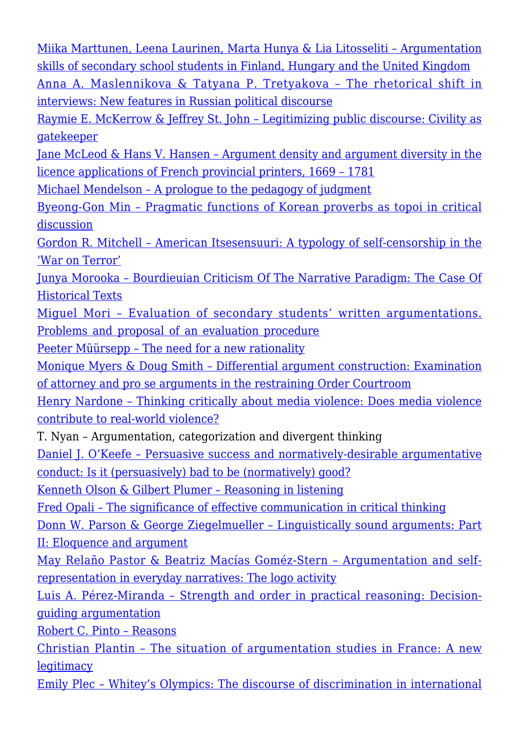[Miika Marttunen, Leena Laurinen, Marta Hunya & Lia Litosseliti – Argumentation](http://rozenbergquarterly.com/issa-proceedings-2002-argumentation-skills-of-secondary-school-students-in-finland-hungary-and-united-kingdomi/) [skills of secondary school students in Finland, Hungary and the United Kingdom](http://rozenbergquarterly.com/issa-proceedings-2002-argumentation-skills-of-secondary-school-students-in-finland-hungary-and-united-kingdomi/) [Anna A. Maslennikova & Tatyana P. Tretyakova – The rhetorical shift in](http://rozenbergquarterly.com/issa-proceedings-2002-the-rhetorical-shift-in-interviews-new-features-in-russian-political-discourse/)

[interviews: New features in Russian political discourse](http://rozenbergquarterly.com/issa-proceedings-2002-the-rhetorical-shift-in-interviews-new-features-in-russian-political-discourse/)

[Raymie E. McKerrow & Jeffrey St. John – Legitimizing public discourse: Civility as](http://rozenbergquarterly.com/issa-proceedings-2002-legitimizing-public-discourse-civility-as-gatekeeper/) [gatekeeper](http://rozenbergquarterly.com/issa-proceedings-2002-legitimizing-public-discourse-civility-as-gatekeeper/)

[Jane McLeod & Hans V. Hansen – Argument density and argument diversity in the](http://rozenbergquarterly.com/issa-proceedings-2002-argument-density-and-argument-diversity-in-the-licence-applications-of-french-provincial-printers-1669-1781/) [licence applications of French provincial printers, 1669 – 1781](http://rozenbergquarterly.com/issa-proceedings-2002-argument-density-and-argument-diversity-in-the-licence-applications-of-french-provincial-printers-1669-1781/)

[Michael Mendelson – A prologue to the pedagogy of judgment](http://rozenbergquarterly.com/issa-proceedings-2002-a-prologue-to-the-pedagogy-of-judgment/)

[Byeong-Gon Min – Pragmatic functions of Korean proverbs as topoi in critical](http://rozenbergquarterly.com/issa-proceedings-2002-pragmatic-functions-of-korean-proverbs-as-topoi-in-critical-discussion/) [discussion](http://rozenbergquarterly.com/issa-proceedings-2002-pragmatic-functions-of-korean-proverbs-as-topoi-in-critical-discussion/)

[Gordon R. Mitchell – American Itsesensuuri: A typology of self-censorship in the](http://rozenbergquarterly.com/issa-proceedings-2002-american-itsesensuuri-a-typology-of-self-censorship-in-the-war-on-terror/) ['War on Terror'](http://rozenbergquarterly.com/issa-proceedings-2002-american-itsesensuuri-a-typology-of-self-censorship-in-the-war-on-terror/)

[Junya Morooka – Bourdieuian Criticism Of The Narrative Paradigm: The Case Of](http://rozenbergquarterly.com/issa-proceedings-2002-bourdieuian-criticism-of-the-narrative-paradigm-the-case-of-historical-textsi/) [Historical Texts](http://rozenbergquarterly.com/issa-proceedings-2002-bourdieuian-criticism-of-the-narrative-paradigm-the-case-of-historical-textsi/)

[Miguel Mori – Evaluation of secondary students' written argumentations.](http://rozenbergquarterly.com/issa-proceedings-2002-evaluation-of-secondary-students-written-argumentations-problems-and-proposal-of-an-evaluation-procedure/) [Problems and proposal of an evaluation procedure](http://rozenbergquarterly.com/issa-proceedings-2002-evaluation-of-secondary-students-written-argumentations-problems-and-proposal-of-an-evaluation-procedure/)

[Peeter Müürsepp – The need for a new rationality](http://rozenbergquarterly.com/issa-proceedings-2002-the-need-for-a-new-rationality/)

[Monique Myers & Doug Smith – Differential argument construction: Examination](http://rozenbergquarterly.com/issa-proceedings-2002-differential-argument-construction-examination-of-attorney-and-pro-se-arguments-in-the-restraining-order-courtroom/) [of attorney and pro se arguments in the restraining Order Courtroom](http://rozenbergquarterly.com/issa-proceedings-2002-differential-argument-construction-examination-of-attorney-and-pro-se-arguments-in-the-restraining-order-courtroom/)

[Henry Nardone – Thinking critically about media violence: Does media violence](http://rozenbergquarterly.com/issa-proceedings-2002-thinking-critically-about-media-violence-does-media-violence-contribute-to-real-world-violence/) [contribute to real-world violence?](http://rozenbergquarterly.com/issa-proceedings-2002-thinking-critically-about-media-violence-does-media-violence-contribute-to-real-world-violence/)

T. Nyan – Argumentation, categorization and divergent thinking

[Daniel J. O'Keefe – Persuasive success and normatively-desirable argumentative](http://rozenbergquarterly.com/issa-proceedings-2002-persuasive-success-and-normatively-desirable-argumentative-conduct-is-it-persuasively-bad-to-be-normatively-good/) [conduct: Is it \(persuasively\) bad to be \(normatively\) good?](http://rozenbergquarterly.com/issa-proceedings-2002-persuasive-success-and-normatively-desirable-argumentative-conduct-is-it-persuasively-bad-to-be-normatively-good/)

[Kenneth Olson & Gilbert Plumer – Reasoning in listening](http://rozenbergquarterly.com/issa-proceedings-2002-reasoning-in-listening/)

[Fred Opali – The significance of effective communication in critical thinking](http://rozenbergquarterly.com/issa-proceedings-2002-the-significance-of-effective-communication-in-critical-thinking/)

[Donn W. Parson & George Ziegelmueller – Linguistically sound arguments: Part](http://rozenbergquarterly.com/issa-proceedings-2002-linguistically-sound-arguments-part-ii-eloquence-and-argument/) [II: Eloquence and argument](http://rozenbergquarterly.com/issa-proceedings-2002-linguistically-sound-arguments-part-ii-eloquence-and-argument/)

[May Relaño Pastor & Beatriz Macías Goméz-Stern – Argumentation and self](http://rozenbergquarterly.com/issa-proceedings-2002-argumentation-and-self-representation-in-everyday-narratives-the-logo-activity/)[representation in everyday narratives: The logo activity](http://rozenbergquarterly.com/issa-proceedings-2002-argumentation-and-self-representation-in-everyday-narratives-the-logo-activity/)

[Luis A. Pérez-Miranda – Strength and order in practical reasoning: Decision](http://rozenbergquarterly.com/issa-proceedings-2002-strength-and-order-in-practical-reasoning-decision-guiding-argumentation/)[guiding argumentation](http://rozenbergquarterly.com/issa-proceedings-2002-strength-and-order-in-practical-reasoning-decision-guiding-argumentation/)

[Robert C. Pinto – Reasons](http://rozenbergquarterly.com/issa-proceedings-2002-reasons/)

[Christian Plantin – The situation of argumentation studies in France: A new](http://rozenbergquarterly.com/issa-proceedings-2002-the-situation-of-argumentation-studies-in-france-a-new-legitimacy/) **[legitimacy](http://rozenbergquarterly.com/issa-proceedings-2002-the-situation-of-argumentation-studies-in-france-a-new-legitimacy/)** 

[Emily Plec – Whitey's Olympics: The discourse of discrimination in international](http://rozenbergquarterly.com/issa-proceedings-2002-whiteys-olympics-the-discourse-of-discrimination-in-international-sport/)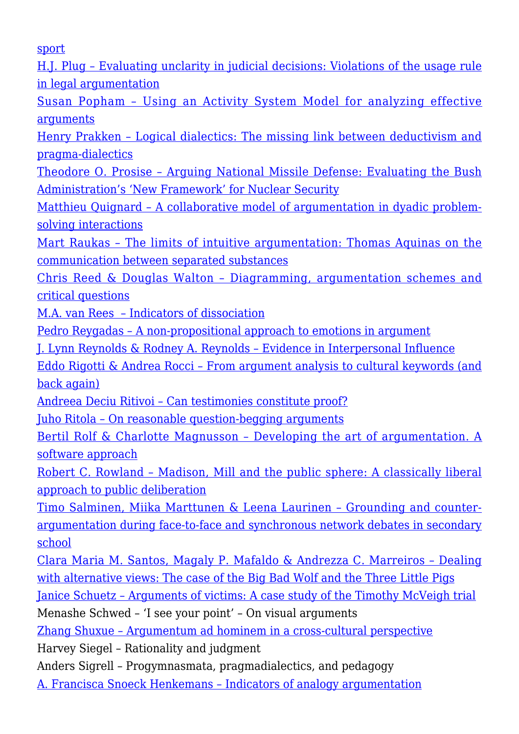[sport](http://rozenbergquarterly.com/issa-proceedings-2002-whiteys-olympics-the-discourse-of-discrimination-in-international-sport/)

[H.J. Plug – Evaluating unclarity in judicial decisions: Violations of the usage rule](http://rozenbergquarterly.com/issa-proceedings-2002-evaluating-unclarity-in-judicial-decisions-violations-of-the-usage-rule-in-legal-argumentation/) [in legal argumentation](http://rozenbergquarterly.com/issa-proceedings-2002-evaluating-unclarity-in-judicial-decisions-violations-of-the-usage-rule-in-legal-argumentation/)

[Susan Popham – Using an Activity System Model for analyzing effective](http://rozenbergquarterly.com/issa-proceedings-2002-using-an-activity-system-model-for-analyzing-effective-arguments/) [arguments](http://rozenbergquarterly.com/issa-proceedings-2002-using-an-activity-system-model-for-analyzing-effective-arguments/)

[Henry Prakken – Logical dialectics: The missing link between deductivism and](http://rozenbergquarterly.com/issa-proceedings-2002-logical-dialectics-the-missing-link-between-deductivism-and-pragma-dialectics/) [pragma-dialectics](http://rozenbergquarterly.com/issa-proceedings-2002-logical-dialectics-the-missing-link-between-deductivism-and-pragma-dialectics/)

[Theodore O. Prosise – Arguing National Missile Defense: Evaluating the Bush](http://rozenbergquarterly.com/issa-proceedings-2002-arguing-national-missile-defense-evaluating-the-bush-administrations-new-framework-for-nuclear-security/) [Administration's 'New Framework' for Nuclear Security](http://rozenbergquarterly.com/issa-proceedings-2002-arguing-national-missile-defense-evaluating-the-bush-administrations-new-framework-for-nuclear-security/)

[Matthieu Quignard – A collaborative model of argumentation in dyadic problem](http://rozenbergquarterly.com/issa-proceedings-2002-a-collaborative-model-of-argumentation-in-dyadic-problem-solving-interactions/)[solving interactions](http://rozenbergquarterly.com/issa-proceedings-2002-a-collaborative-model-of-argumentation-in-dyadic-problem-solving-interactions/)

[Mart Raukas – The limits of intuitive argumentation: Thomas Aquinas on the](http://rozenbergquarterly.com/issa-proceedings-2002-the-limits-of-intuitive-argumentation-thomas-aquinas-on-the-communication-between-separated-substances/) [communication between separated substances](http://rozenbergquarterly.com/issa-proceedings-2002-the-limits-of-intuitive-argumentation-thomas-aquinas-on-the-communication-between-separated-substances/)

[Chris Reed & Douglas Walton – Diagramming, argumentation schemes and](http://rozenbergquarterly.com/issa-proceedings-2002-diagramming-argumentation-schemes-and-critical-questions/) [critical questions](http://rozenbergquarterly.com/issa-proceedings-2002-diagramming-argumentation-schemes-and-critical-questions/)

[M.A. van Rees – Indicators of dissociation](http://rozenbergquarterly.com/issa-proceedings-2002-indicators-of-dissociation/)

[Pedro Reygadas – A non-propositional approach to emotions in argument](http://rozenbergquarterly.com/issa-proceedings-2002-a-non-propositional-approach-to-emotions-in-argument/)

[J. Lynn Reynolds & Rodney A. Reynolds – Evidence in Interpersonal Influence](http://rozenbergquarterly.com/issa-proceedings-2002-evidence-in-interpersonal-influence/)

[Eddo Rigotti & Andrea Rocci – From argument analysis to cultural keywords \(and](http://rozenbergquarterly.com/issa-proceedings-2002-from-argument-analysis-to-cultural-keywords-and-back-again/) [back again\)](http://rozenbergquarterly.com/issa-proceedings-2002-from-argument-analysis-to-cultural-keywords-and-back-again/)

[Andreea Deciu Ritivoi – Can testimonies constitute proof?](http://rozenbergquarterly.com/issa-proceedings-2002-can-testimonies-constitute-proof/)

[Juho Ritola – On reasonable question-begging arguments](http://rozenbergquarterly.com/issa-proceedings-2002-on-reasonable-question-begging-arguments/)

[Bertil Rolf & Charlotte Magnusson – Developing the art of argumentation. A](http://rozenbergquarterly.com/issa-proceedings-2002-developing-the-art-of-argumentation-a-software-approach/) [software approach](http://rozenbergquarterly.com/issa-proceedings-2002-developing-the-art-of-argumentation-a-software-approach/)

[Robert C. Rowland – Madison, Mill and the public sphere: A classically liberal](http://rozenbergquarterly.com/issa-proceedings-2002-madison-mill-and-the-public-sphere-a-classically-liberal-approach-to-public-deliberation/) [approach to public deliberation](http://rozenbergquarterly.com/issa-proceedings-2002-madison-mill-and-the-public-sphere-a-classically-liberal-approach-to-public-deliberation/)

[Timo Salminen, Miika Marttunen & Leena Laurinen – Grounding and counter](http://rozenbergquarterly.com/issa-proceedings-2002-grounding-and-counter-argumentation-during-face-to-face-and-synchronous-network-debates-in-secondary-school/)[argumentation during face-to-face and synchronous network debates in secondary](http://rozenbergquarterly.com/issa-proceedings-2002-grounding-and-counter-argumentation-during-face-to-face-and-synchronous-network-debates-in-secondary-school/) [school](http://rozenbergquarterly.com/issa-proceedings-2002-grounding-and-counter-argumentation-during-face-to-face-and-synchronous-network-debates-in-secondary-school/)

[Clara Maria M. Santos, Magaly P. Mafaldo & Andrezza C. Marreiros – Dealing](http://rozenbergquarterly.com/issa-proceedings-2002-dealing-with-alternative-views-the-case-of-the-big-bad-wolf-and-the-three-little-pigs/) [with alternative views: The case of the Big Bad Wolf and the Three Little Pigs](http://rozenbergquarterly.com/issa-proceedings-2002-dealing-with-alternative-views-the-case-of-the-big-bad-wolf-and-the-three-little-pigs/)

[Janice Schuetz – Arguments of victims: A case study of the Timothy McVeigh trial](http://rozenbergquarterly.com/issa-proceedings-2002-arguments-of-victims-a-case-study-of-the-timothy-mcveigh-trial/) Menashe Schwed – 'I see your point' – On visual arguments

[Zhang Shuxue – Argumentum ad hominem in a cross-cultural perspective](http://rozenbergquarterly.com/issa-proceedings-2002-argumentum-ad-hominem-in-a-cross-cultural-perspective/)

Harvey Siegel – Rationality and judgment

Anders Sigrell – Progymnasmata, pragmadialectics, and pedagogy

[A. Francisca Snoeck Henkemans – Indicators of analogy argumentation](http://rozenbergquarterly.com/issa-proceedings-2002-indicators-of-analogy-argumentation/)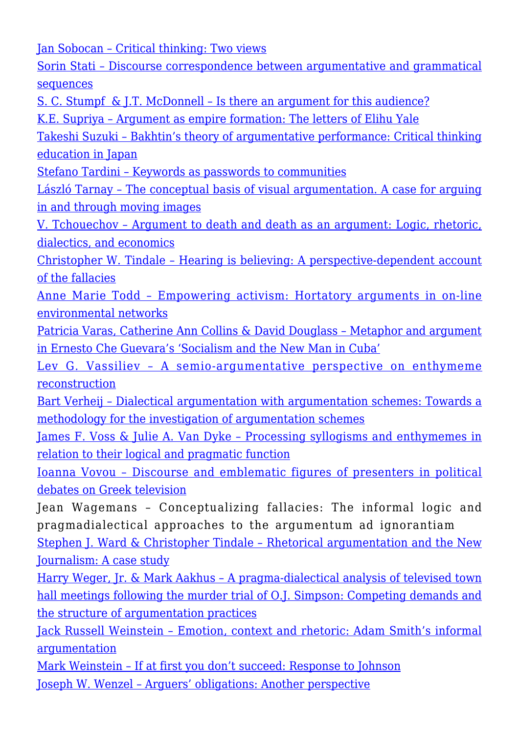[Jan Sobocan – Critical thinking: Two views](http://rozenbergquarterly.com/issa-proceedings-2002-critical-thinking-two-views/)

[Sorin Stati – Discourse correspondence between argumentative and grammatical](http://rozenbergquarterly.com/issa-proceedings-2002-discourse-correspondence-between-argumentative-and-grammatical-sequences/) [sequences](http://rozenbergquarterly.com/issa-proceedings-2002-discourse-correspondence-between-argumentative-and-grammatical-sequences/)

[S. C. Stumpf & J.T. McDonnell – Is there an argument for this audience?](http://rozenbergquarterly.com/issa-proceedings-2002-is-there-an-argument-for-this-audience/)

[K.E. Supriya – Argument as empire formation: The letters of Elihu Yale](http://rozenbergquarterly.com/issa-proceedings-2002-argument-as-empire-formation-the-letters-of-elihu-yale/)

[Takeshi Suzuki – Bakhtin's theory of argumentative performance: Critical thinking](http://rozenbergquarterly.com/issa-proceedings-2002-bakhtins-theory-of-argumentative-performance-critical-thinking-education-in-japan/) [education in Japan](http://rozenbergquarterly.com/issa-proceedings-2002-bakhtins-theory-of-argumentative-performance-critical-thinking-education-in-japan/)

[Stefano Tardini – Keywords as passwords to communities](http://rozenbergquarterly.com/issa-proceedings-2002-keywords-as-passwords-to-communities/)

[László Tarnay – The conceptual basis of visual argumentation. A case for arguing](http://rozenbergquarterly.com/issa-proceedings-2002-the-conceptual-basis-of-visual-argumentation-a-case-for-arguing-in-and-through-moving-images/) [in and through moving images](http://rozenbergquarterly.com/issa-proceedings-2002-the-conceptual-basis-of-visual-argumentation-a-case-for-arguing-in-and-through-moving-images/)

[V. Tchouechov – Argument to death and death as an argument: Logic, rhetoric,](http://rozenbergquarterly.com/issa-proceedings-2002-argument-to-death-and-death-as-an-argument-logic-rhetoric-dialectics-and-economics/) [dialectics, and economics](http://rozenbergquarterly.com/issa-proceedings-2002-argument-to-death-and-death-as-an-argument-logic-rhetoric-dialectics-and-economics/)

[Christopher W. Tindale – Hearing is believing: A perspective-dependent account](http://rozenbergquarterly.com/issa-proceedings-2002-hearing-is-believing-a-perspective-dependent-account-of-the-fallacies/) [of the fallacies](http://rozenbergquarterly.com/issa-proceedings-2002-hearing-is-believing-a-perspective-dependent-account-of-the-fallacies/)

[Anne Marie Todd – Empowering activism: Hortatory arguments in on-line](http://rozenbergquarterly.com/issa-proceedings-2002-empowering-activism-hortatory-arguments-in-on-line-environmental-networks/) [environmental networks](http://rozenbergquarterly.com/issa-proceedings-2002-empowering-activism-hortatory-arguments-in-on-line-environmental-networks/)

[Patricia Varas, Catherine Ann Collins & David Douglass – Metaphor and argument](http://rozenbergquarterly.com/issa-proceedings-2002-metaphor-and-argument-in-ernesto-che-guevaras-socialism-and-the-new-man-in-cuba/) [in Ernesto Che Guevara's 'Socialism and the New Man in Cuba'](http://rozenbergquarterly.com/issa-proceedings-2002-metaphor-and-argument-in-ernesto-che-guevaras-socialism-and-the-new-man-in-cuba/)

[Lev G. Vassiliev – A semio-argumentative perspective on enthymeme](http://rozenbergquarterly.com/issa-proceedings-2002-a-semio-argumentative-perspective-on-enthymeme-reconstruction/) [reconstruction](http://rozenbergquarterly.com/issa-proceedings-2002-a-semio-argumentative-perspective-on-enthymeme-reconstruction/)

[Bart Verheij – Dialectical argumentation with argumentation schemes: Towards a](http://rozenbergquarterly.com/issa-proceedings-2002-dialectical-argumentation-with-argumentation-schemes-towards-a-methodology-for-the-investigation-of-argumentation-schemes/) [methodology for the investigation of argumentation schemes](http://rozenbergquarterly.com/issa-proceedings-2002-dialectical-argumentation-with-argumentation-schemes-towards-a-methodology-for-the-investigation-of-argumentation-schemes/)

[James F. Voss & Julie A. Van Dyke – Processing syllogisms and enthymemes in](http://rozenbergquarterly.com/issa-proceedings-2002-processing-syllogisms-and-enthymemes-in-relation-to-their-logical-and-pragmatic-function/) [relation to their logical and pragmatic function](http://rozenbergquarterly.com/issa-proceedings-2002-processing-syllogisms-and-enthymemes-in-relation-to-their-logical-and-pragmatic-function/)

[Ioanna Vovou – Discourse and emblematic figures of presenters in political](http://rozenbergquarterly.com/issa-proceedings-2002-discourse-and-emblematic-figures-of-presenters-in-political-debates-on-greek-television/) [debates on Greek television](http://rozenbergquarterly.com/issa-proceedings-2002-discourse-and-emblematic-figures-of-presenters-in-political-debates-on-greek-television/)

Jean Wagemans – Conceptualizing fallacies: The informal logic and pragmadialectical approaches to the argumentum ad ignorantiam

[Stephen J. Ward & Christopher Tindale – Rhetorical argumentation and the New](http://rozenbergquarterly.com/issa-proceedings-2002-rhetorical-argumentation-and-the-new-journalism-a-case-study/) [Journalism: A case study](http://rozenbergquarterly.com/issa-proceedings-2002-rhetorical-argumentation-and-the-new-journalism-a-case-study/)

[Harry Weger, Jr. & Mark Aakhus – A pragma-dialectical analysis of televised town](http://rozenbergquarterly.com/issa-proceedings-2002-a-pragma-dialectical-analysis-of-televised-town-hall-meetings-following-the-murder-trial-of-o-j-simpson-competing-demands-and-the-structure-of-argumentation-practices/) [hall meetings following the murder trial of O.J. Simpson: Competing demands and](http://rozenbergquarterly.com/issa-proceedings-2002-a-pragma-dialectical-analysis-of-televised-town-hall-meetings-following-the-murder-trial-of-o-j-simpson-competing-demands-and-the-structure-of-argumentation-practices/) [the structure of argumentation practices](http://rozenbergquarterly.com/issa-proceedings-2002-a-pragma-dialectical-analysis-of-televised-town-hall-meetings-following-the-murder-trial-of-o-j-simpson-competing-demands-and-the-structure-of-argumentation-practices/)

[Jack Russell Weinstein – Emotion, context and rhetoric: Adam Smith's informal](http://rozenbergquarterly.com/issa-proceedings-2002-emotion-context-and-rhetoric-adam-smiths-informal-argumentation/) [argumentation](http://rozenbergquarterly.com/issa-proceedings-2002-emotion-context-and-rhetoric-adam-smiths-informal-argumentation/)

[Mark Weinstein – If at first you don't succeed: Response to Johnson](http://rozenbergquarterly.com/issa-proceedings-2002-if-at-first-you-dont-succeed-response-to-johnson/) [Joseph W. Wenzel – Arguers' obligations: Another perspective](http://rozenbergquarterly.com/issa-proceedings-2002-arguers-obligations-another-perspective/)